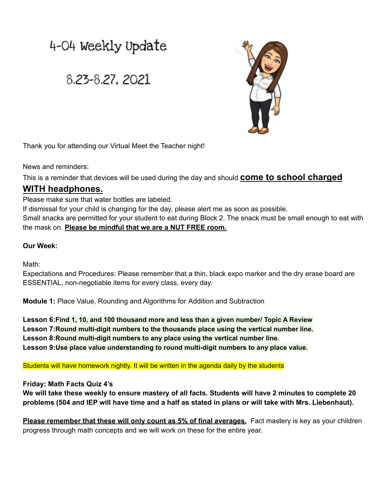# 4-04 Weekly Update

## 8.23-8.27, 2021



Thank you for attending our Virtual Meet the Teacher night!

News and reminders:

This is a reminder that devices will be used during the day and should **come to school charged**

### **WITH headphones.**

Please make sure that water bottles are labeled.

If dismissal for your child is changing for the day, please alert me as soon as possible.

Small snacks are permitted for your student to eat during Block 2. The snack must be small enough to eat with the mask on. **Please be mindful that we are a NUT FREE room.**

#### **Our Week:**

Math:

Expectations and Procedures: Please remember that a thin, black expo marker and the dry erase board are ESSENTIAL, non-negotiable items for every class, every day.

**Module 1:** Place Value, Rounding and Algorithms for Addition and Subtraction

**Lesson 6:Find 1, 10, and 100 thousand more and less than a given number/ Topic A Review Lesson 7:Round multi-digit numbers to the thousands place using the vertical number line. Lesson 8:Round multi-digit numbers to any place using the vertical number line. Lesson 9:Use place value understanding to round multi-digit numbers to any place value.**

Students will have homework nightly. It will be written in the agenda daily by the students

#### **Friday: Math Facts Quiz 4's**

We will take these weekly to ensure mastery of all facts. Students will have 2 minutes to complete 20 problems (504 and IEP will have time and a half as stated in plans or will take with Mrs. Liebenhaut).

**Please remember that these will only count as 5% of final averages.** Fact mastery is key as your children progress through math concepts and we will work on these for the entire year.